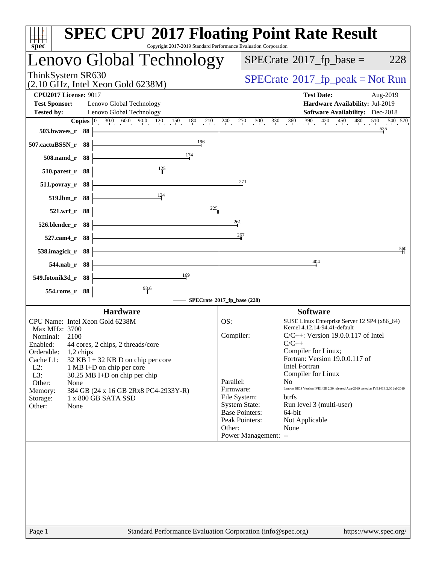| <b>SPEC CPU®2017 Floating Point Rate Result</b><br>Copyright 2017-2019 Standard Performance Evaluation Corporation<br>$spec^*$                                                                                                                                                                                                                                                                                                                  |                                                                                                                                                                                                                                                                                                                                                                                                                                                                                                                                                                                    |
|-------------------------------------------------------------------------------------------------------------------------------------------------------------------------------------------------------------------------------------------------------------------------------------------------------------------------------------------------------------------------------------------------------------------------------------------------|------------------------------------------------------------------------------------------------------------------------------------------------------------------------------------------------------------------------------------------------------------------------------------------------------------------------------------------------------------------------------------------------------------------------------------------------------------------------------------------------------------------------------------------------------------------------------------|
| Lenovo Global Technology                                                                                                                                                                                                                                                                                                                                                                                                                        | $SPECrate^{\circledast}2017$ _fp_base =<br>228                                                                                                                                                                                                                                                                                                                                                                                                                                                                                                                                     |
| ThinkSystem SR630<br>(2.10 GHz, Intel Xeon Gold 6238M)                                                                                                                                                                                                                                                                                                                                                                                          | $SPECrate^{\circ}2017rfp peak = Not Run$                                                                                                                                                                                                                                                                                                                                                                                                                                                                                                                                           |
| <b>CPU2017 License: 9017</b><br><b>Test Sponsor:</b><br>Lenovo Global Technology<br><b>Tested by:</b><br>Lenovo Global Technology<br>$30.0$ $60.0$ $90.0$ $120$ $150$ $180$ $210$<br>Copies $ 0\rangle$<br>503.bwayes_r 88                                                                                                                                                                                                                      | <b>Test Date:</b><br>Aug-2019<br>Hardware Availability: Jul-2019<br><b>Software Availability:</b> Dec-2018<br>510<br>$330$ $360$ $390$ $420$ $450$<br>480<br>540 570<br>$^{240}$ $^{270}$ $^{300}$<br>525                                                                                                                                                                                                                                                                                                                                                                          |
| 196<br>507.cactuBSSN_r 88<br>174<br>508.namd_r 88<br>125<br>510.parest_r 88<br>88<br>511.povray_r                                                                                                                                                                                                                                                                                                                                               | 271                                                                                                                                                                                                                                                                                                                                                                                                                                                                                                                                                                                |
| 124<br>519.lbm_r 88<br>225<br>$521.wrf_r$<br>- 88<br>526.blender_r 88<br>$527$ .cam $4r$<br>- 88                                                                                                                                                                                                                                                                                                                                                | 261<br>267                                                                                                                                                                                                                                                                                                                                                                                                                                                                                                                                                                         |
| 538.imagick_r 88<br>- 88<br>544.nab_r<br>169<br>549.fotonik3d_r 88<br>98.6<br>554.roms_r 88                                                                                                                                                                                                                                                                                                                                                     | 560<br>404                                                                                                                                                                                                                                                                                                                                                                                                                                                                                                                                                                         |
| SPECrate®2017_fp_base (228)                                                                                                                                                                                                                                                                                                                                                                                                                     |                                                                                                                                                                                                                                                                                                                                                                                                                                                                                                                                                                                    |
| <b>Hardware</b><br>CPU Name: Intel Xeon Gold 6238M<br>OS:<br>Max MHz: 3700<br>Nominal:<br>2100<br>Enabled: 44 cores, 2 chips, 2 threads/core<br>Orderable:<br>1,2 chips<br>Cache L1:<br>$32$ KB I + 32 KB D on chip per core<br>$L2$ :<br>1 MB I+D on chip per core<br>L3:<br>30.25 MB I+D on chip per chip<br>Other:<br>None<br>384 GB (24 x 16 GB 2Rx8 PC4-2933Y-R)<br>Memory:<br>1 x 800 GB SATA SSD<br>Storage:<br>Other:<br>None<br>Other: | <b>Software</b><br>SUSE Linux Enterprise Server 12 SP4 (x86_64)<br>Kernel 4.12.14-94.41-default<br>Compiler:<br>$C/C++$ : Version 19.0.0.117 of Intel<br>$C/C++$<br>Compiler for Linux;<br>Fortran: Version 19.0.0.117 of<br><b>Intel Fortran</b><br>Compiler for Linux<br>Parallel:<br>No.<br>Lenovo BIOS Version IVE142E 2.30 released Aug-2019 tested as IVE141E 2.30 Jul-2019<br>Firmware:<br>File System:<br>btrfs<br><b>System State:</b><br>Run level 3 (multi-user)<br><b>Base Pointers:</b><br>64-bit<br>Peak Pointers:<br>Not Applicable<br>None<br>Power Management: -- |
| Standard Performance Evaluation Corporation (info@spec.org)<br>Page 1                                                                                                                                                                                                                                                                                                                                                                           | https://www.spec.org/                                                                                                                                                                                                                                                                                                                                                                                                                                                                                                                                                              |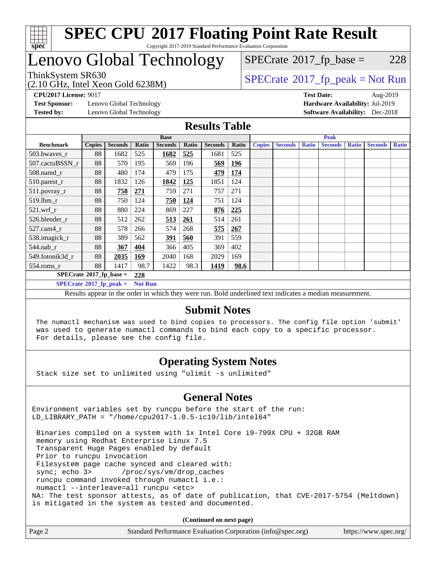

### **[SPEC CPU](http://www.spec.org/auto/cpu2017/Docs/result-fields.html#SPECCPU2017FloatingPointRateResult)[2017 Floating Point Rate Result](http://www.spec.org/auto/cpu2017/Docs/result-fields.html#SPECCPU2017FloatingPointRateResult)** Copyright 2017-2019 Standard Performance Evaluation Corporation

# Lenovo Global Technology

 $SPECTate@2017_fp\_base = 228$ 

(2.10 GHz, Intel Xeon Gold 6238M)

ThinkSystem SR630<br>  $(2.10 \text{ GHz. Intel Yoon Gold } 6238M)$  [SPECrate](http://www.spec.org/auto/cpu2017/Docs/result-fields.html#SPECrate2017fppeak)®[2017\\_fp\\_peak = N](http://www.spec.org/auto/cpu2017/Docs/result-fields.html#SPECrate2017fppeak)ot Run

**[Test Sponsor:](http://www.spec.org/auto/cpu2017/Docs/result-fields.html#TestSponsor)** Lenovo Global Technology **[Hardware Availability:](http://www.spec.org/auto/cpu2017/Docs/result-fields.html#HardwareAvailability)** Jul-2019 **[Tested by:](http://www.spec.org/auto/cpu2017/Docs/result-fields.html#Testedby)** Lenovo Global Technology **[Software Availability:](http://www.spec.org/auto/cpu2017/Docs/result-fields.html#SoftwareAvailability)** Dec-2018

**[CPU2017 License:](http://www.spec.org/auto/cpu2017/Docs/result-fields.html#CPU2017License)** 9017 **[Test Date:](http://www.spec.org/auto/cpu2017/Docs/result-fields.html#TestDate)** Aug-2019

### **[Results Table](http://www.spec.org/auto/cpu2017/Docs/result-fields.html#ResultsTable)**

|                                        | <b>Base</b>   |                |                |                | <b>Peak</b> |                |       |               |                |              |                |              |                |              |
|----------------------------------------|---------------|----------------|----------------|----------------|-------------|----------------|-------|---------------|----------------|--------------|----------------|--------------|----------------|--------------|
| <b>Benchmark</b>                       | <b>Copies</b> | <b>Seconds</b> | Ratio          | <b>Seconds</b> | Ratio       | <b>Seconds</b> | Ratio | <b>Copies</b> | <b>Seconds</b> | <b>Ratio</b> | <b>Seconds</b> | <b>Ratio</b> | <b>Seconds</b> | <b>Ratio</b> |
| 503.bwayes_r                           | 88            | 1682           | 525            | 1682           | 525         | 1681           | 525   |               |                |              |                |              |                |              |
| 507.cactuBSSN r                        | 88            | 570            | 195            | 569            | 196         | 569            | 196   |               |                |              |                |              |                |              |
| $508$ .namd $r$                        | 88            | 480            | 174            | 479            | 175         | 479            | 174   |               |                |              |                |              |                |              |
| 510.parest_r                           | 88            | 1832           | 126            | 1842           | 125         | 1851           | 124   |               |                |              |                |              |                |              |
| 511.povray_r                           | 88            | 758            | 271            | 759            | 271         | 757            | 271   |               |                |              |                |              |                |              |
| 519.lbm r                              | 88            | 750            | 124            | 750            | 124         | 751            | 124   |               |                |              |                |              |                |              |
| $521$ .wrf $r$                         | 88            | 880            | 224            | 869            | 227         | 876            | 225   |               |                |              |                |              |                |              |
| 526.blender r                          | 88            | 512            | 262            | 513            | <u>261</u>  | 514            | 261   |               |                |              |                |              |                |              |
| $527$ .cam $4r$                        | 88            | 578            | 266            | 574            | 268         | 575            | 267   |               |                |              |                |              |                |              |
| 538.imagick_r                          | 88            | 389            | 562            | 391            | 560         | 391            | 559   |               |                |              |                |              |                |              |
| 544.nab r                              | 88            | 367            | <u>404</u>     | 366            | 405         | 369            | 402   |               |                |              |                |              |                |              |
| 549.fotonik3d r                        | 88            | 2035           | 169            | 2040           | 168         | 2029           | 169   |               |                |              |                |              |                |              |
| $554$ .roms_r                          | 88            | 1417           | 98.7           | 1422           | 98.3        | <u>1419</u>    | 98.6  |               |                |              |                |              |                |              |
| $SPECrate$ <sup>®</sup> 2017_fp_base = |               |                | 228            |                |             |                |       |               |                |              |                |              |                |              |
| $SPECrate^{\circ}2017$ fp peak =       |               |                | <b>Not Run</b> |                |             |                |       |               |                |              |                |              |                |              |

Results appear in the [order in which they were run.](http://www.spec.org/auto/cpu2017/Docs/result-fields.html#RunOrder) Bold underlined text [indicates a median measurement.](http://www.spec.org/auto/cpu2017/Docs/result-fields.html#Median)

### **[Submit Notes](http://www.spec.org/auto/cpu2017/Docs/result-fields.html#SubmitNotes)**

 The numactl mechanism was used to bind copies to processors. The config file option 'submit' was used to generate numactl commands to bind each copy to a specific processor. For details, please see the config file.

## **[Operating System Notes](http://www.spec.org/auto/cpu2017/Docs/result-fields.html#OperatingSystemNotes)**

Stack size set to unlimited using "ulimit -s unlimited"

## **[General Notes](http://www.spec.org/auto/cpu2017/Docs/result-fields.html#GeneralNotes)**

Environment variables set by runcpu before the start of the run: LD\_LIBRARY\_PATH = "/home/cpu2017-1.0.5-ic19/lib/intel64"

 Binaries compiled on a system with 1x Intel Core i9-799X CPU + 32GB RAM memory using Redhat Enterprise Linux 7.5 Transparent Huge Pages enabled by default Prior to runcpu invocation Filesystem page cache synced and cleared with: sync; echo 3> /proc/sys/vm/drop\_caches runcpu command invoked through numactl i.e.: numactl --interleave=all runcpu <etc> NA: The test sponsor attests, as of date of publication, that CVE-2017-5754 (Meltdown) is mitigated in the system as tested and documented.

**(Continued on next page)**

| Page 2 | Standard Performance Evaluation Corporation (info@spec.org) | https://www.spec.org/ |
|--------|-------------------------------------------------------------|-----------------------|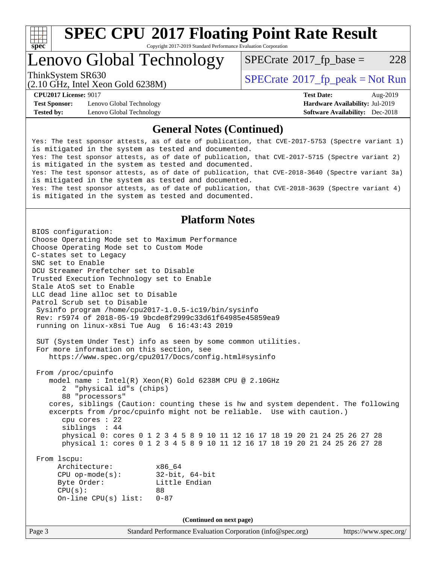

# **[SPEC CPU](http://www.spec.org/auto/cpu2017/Docs/result-fields.html#SPECCPU2017FloatingPointRateResult)[2017 Floating Point Rate Result](http://www.spec.org/auto/cpu2017/Docs/result-fields.html#SPECCPU2017FloatingPointRateResult)**

Copyright 2017-2019 Standard Performance Evaluation Corporation

# Lenovo Global Technology

 $SPECTate@2017_fp\_base = 228$ 

(2.10 GHz, Intel Xeon Gold 6238M)

ThinkSystem SR630<br>  $SPECTR = Not Run 2017$  [SPECrate](http://www.spec.org/auto/cpu2017/Docs/result-fields.html#SPECrate2017fppeak)®[2017\\_fp\\_peak = N](http://www.spec.org/auto/cpu2017/Docs/result-fields.html#SPECrate2017fppeak)ot Run

**[Test Sponsor:](http://www.spec.org/auto/cpu2017/Docs/result-fields.html#TestSponsor)** Lenovo Global Technology **[Hardware Availability:](http://www.spec.org/auto/cpu2017/Docs/result-fields.html#HardwareAvailability)** Jul-2019 **[Tested by:](http://www.spec.org/auto/cpu2017/Docs/result-fields.html#Testedby)** Lenovo Global Technology **[Software Availability:](http://www.spec.org/auto/cpu2017/Docs/result-fields.html#SoftwareAvailability)** Dec-2018

**[CPU2017 License:](http://www.spec.org/auto/cpu2017/Docs/result-fields.html#CPU2017License)** 9017 **[Test Date:](http://www.spec.org/auto/cpu2017/Docs/result-fields.html#TestDate)** Aug-2019

## **[General Notes \(Continued\)](http://www.spec.org/auto/cpu2017/Docs/result-fields.html#GeneralNotes)**

Yes: The test sponsor attests, as of date of publication, that CVE-2017-5753 (Spectre variant 1) is mitigated in the system as tested and documented. Yes: The test sponsor attests, as of date of publication, that CVE-2017-5715 (Spectre variant 2) is mitigated in the system as tested and documented. Yes: The test sponsor attests, as of date of publication, that CVE-2018-3640 (Spectre variant 3a) is mitigated in the system as tested and documented. Yes: The test sponsor attests, as of date of publication, that CVE-2018-3639 (Spectre variant 4) is mitigated in the system as tested and documented.

## **[Platform Notes](http://www.spec.org/auto/cpu2017/Docs/result-fields.html#PlatformNotes)**

Page 3 Standard Performance Evaluation Corporation [\(info@spec.org\)](mailto:info@spec.org) <https://www.spec.org/> BIOS configuration: Choose Operating Mode set to Maximum Performance Choose Operating Mode set to Custom Mode C-states set to Legacy SNC set to Enable DCU Streamer Prefetcher set to Disable Trusted Execution Technology set to Enable Stale AtoS set to Enable LLC dead line alloc set to Disable Patrol Scrub set to Disable Sysinfo program /home/cpu2017-1.0.5-ic19/bin/sysinfo Rev: r5974 of 2018-05-19 9bcde8f2999c33d61f64985e45859ea9 running on linux-x8si Tue Aug 6 16:43:43 2019 SUT (System Under Test) info as seen by some common utilities. For more information on this section, see <https://www.spec.org/cpu2017/Docs/config.html#sysinfo> From /proc/cpuinfo model name : Intel(R) Xeon(R) Gold 6238M CPU @ 2.10GHz 2 "physical id"s (chips) 88 "processors" cores, siblings (Caution: counting these is hw and system dependent. The following excerpts from /proc/cpuinfo might not be reliable. Use with caution.) cpu cores : 22 siblings : 44 physical 0: cores 0 1 2 3 4 5 8 9 10 11 12 16 17 18 19 20 21 24 25 26 27 28 physical 1: cores 0 1 2 3 4 5 8 9 10 11 12 16 17 18 19 20 21 24 25 26 27 28 From lscpu: Architecture: x86\_64 CPU op-mode(s): 32-bit, 64-bit Byte Order: Little Endian  $CPU(s):$  88 On-line CPU(s) list: 0-87 **(Continued on next page)**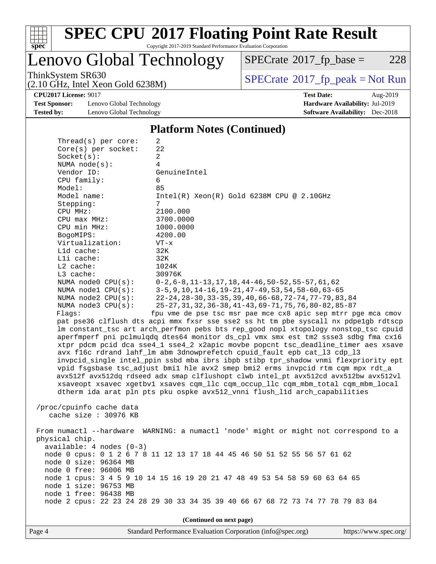

# **[SPEC CPU](http://www.spec.org/auto/cpu2017/Docs/result-fields.html#SPECCPU2017FloatingPointRateResult)[2017 Floating Point Rate Result](http://www.spec.org/auto/cpu2017/Docs/result-fields.html#SPECCPU2017FloatingPointRateResult)**

Copyright 2017-2019 Standard Performance Evaluation Corporation

Lenovo Global Technology

 $SPECTate@2017_fp\_base = 228$ 

(2.10 GHz, Intel Xeon Gold 6238M)

ThinkSystem SR630<br>  $(2.10 \text{ GHz})$  Intel Xeon Gold 6238M)

**[Test Sponsor:](http://www.spec.org/auto/cpu2017/Docs/result-fields.html#TestSponsor)** Lenovo Global Technology **[Hardware Availability:](http://www.spec.org/auto/cpu2017/Docs/result-fields.html#HardwareAvailability)** Jul-2019 **[Tested by:](http://www.spec.org/auto/cpu2017/Docs/result-fields.html#Testedby)** Lenovo Global Technology **[Software Availability:](http://www.spec.org/auto/cpu2017/Docs/result-fields.html#SoftwareAvailability)** Dec-2018

 $Thmend(a)$  per core:

**[CPU2017 License:](http://www.spec.org/auto/cpu2017/Docs/result-fields.html#CPU2017License)** 9017 **[Test Date:](http://www.spec.org/auto/cpu2017/Docs/result-fields.html#TestDate)** Aug-2019

### **[Platform Notes \(Continued\)](http://www.spec.org/auto/cpu2017/Docs/result-fields.html#PlatformNotes)**

| imcau(s) her core.         |                                                                                      |  |  |  |  |  |
|----------------------------|--------------------------------------------------------------------------------------|--|--|--|--|--|
| $Core(s)$ per socket:      | 22                                                                                   |  |  |  |  |  |
| Socket(s):                 | $\overline{a}$                                                                       |  |  |  |  |  |
| NUMA $node(s):$            | 4                                                                                    |  |  |  |  |  |
| Vendor ID:                 | GenuineIntel                                                                         |  |  |  |  |  |
| CPU family:                | 6                                                                                    |  |  |  |  |  |
| Model:                     | 85                                                                                   |  |  |  |  |  |
| Model name:                | $Intel(R) Xeon(R) Gold 6238M CPU @ 2.10GHz$                                          |  |  |  |  |  |
| Stepping:                  | 7                                                                                    |  |  |  |  |  |
| CPU MHz:                   | 2100.000                                                                             |  |  |  |  |  |
| $CPU$ max $MHz$ :          | 3700.0000                                                                            |  |  |  |  |  |
| CPU min MHz:               | 1000.0000                                                                            |  |  |  |  |  |
| BogoMIPS:                  | 4200.00                                                                              |  |  |  |  |  |
| Virtualization:            | $VT - x$                                                                             |  |  |  |  |  |
|                            |                                                                                      |  |  |  |  |  |
| L1d cache:                 | 32K                                                                                  |  |  |  |  |  |
| Lli cache:                 | 32K                                                                                  |  |  |  |  |  |
| $L2$ cache:                | 1024K                                                                                |  |  |  |  |  |
| L3 cache:                  | 30976K                                                                               |  |  |  |  |  |
| NUMA node0 CPU(s):         | $0-2, 6-8, 11-13, 17, 18, 44-46, 50-52, 55-57, 61, 62$                               |  |  |  |  |  |
| NUMA $node1$ $CPU(s)$ :    | $3-5, 9, 10, 14-16, 19-21, 47-49, 53, 54, 58-60, 63-65$                              |  |  |  |  |  |
| NUMA node2 CPU(s):         | 22-24, 28-30, 33-35, 39, 40, 66-68, 72-74, 77-79, 83, 84                             |  |  |  |  |  |
| NUMA node3 CPU(s):         | 25-27, 31, 32, 36-38, 41-43, 69-71, 75, 76, 80-82, 85-87                             |  |  |  |  |  |
| Flagg:                     | fpu vme de pse tsc msr pae mce cx8 apic sep mtrr pge mca cmov                        |  |  |  |  |  |
|                            | pat pse36 clflush dts acpi mmx fxsr sse sse2 ss ht tm pbe syscall nx pdpelgb rdtscp  |  |  |  |  |  |
|                            | lm constant_tsc art arch_perfmon pebs bts rep_good nopl xtopology nonstop_tsc cpuid  |  |  |  |  |  |
|                            | aperfmperf pni pclmulqdq dtes64 monitor ds_cpl vmx smx est tm2 ssse3 sdbg fma cx16   |  |  |  |  |  |
|                            | xtpr pdcm pcid dca sse4_1 sse4_2 x2apic movbe popcnt tsc_deadline_timer aes xsave    |  |  |  |  |  |
|                            | avx f16c rdrand lahf_lm abm 3dnowprefetch cpuid_fault epb cat_13 cdp_13              |  |  |  |  |  |
|                            | invpcid_single intel_ppin ssbd mba ibrs ibpb stibp tpr_shadow vnmi flexpriority ept  |  |  |  |  |  |
|                            | vpid fsgsbase tsc_adjust bmil hle avx2 smep bmi2 erms invpcid rtm cqm mpx rdt_a      |  |  |  |  |  |
|                            | avx512f avx512dq rdseed adx smap clflushopt clwb intel_pt avx512cd avx512bw avx512vl |  |  |  |  |  |
|                            |                                                                                      |  |  |  |  |  |
|                            | xsaveopt xsavec xgetbvl xsaves cqm_llc cqm_occup_llc cqm_mbm_total cqm_mbm_local     |  |  |  |  |  |
|                            | dtherm ida arat pln pts pku ospke avx512_vnni flush_lld arch_capabilities            |  |  |  |  |  |
|                            |                                                                                      |  |  |  |  |  |
| /proc/cpuinfo cache data   |                                                                                      |  |  |  |  |  |
| cache size : 30976 KB      |                                                                                      |  |  |  |  |  |
|                            |                                                                                      |  |  |  |  |  |
|                            | From numactl --hardware WARNING: a numactl 'node' might or might not correspond to a |  |  |  |  |  |
| physical chip.             |                                                                                      |  |  |  |  |  |
| $available: 4 nodes (0-3)$ |                                                                                      |  |  |  |  |  |
|                            | node 0 cpus: 0 1 2 6 7 8 11 12 13 17 18 44 45 46 50 51 52 55 56 57 61 62             |  |  |  |  |  |
| node 0 size: 96364 MB      |                                                                                      |  |  |  |  |  |
| node 0 free: 96006 MB      |                                                                                      |  |  |  |  |  |
|                            | node 1 cpus: 3 4 5 9 10 14 15 16 19 20 21 47 48 49 53 54 58 59 60 63 64 65           |  |  |  |  |  |
| node 1 size: 96753 MB      |                                                                                      |  |  |  |  |  |
| node 1 free: 96438 MB      |                                                                                      |  |  |  |  |  |
|                            | node 2 cpus: 22 23 24 28 29 30 33 34 35 39 40 66 67 68 72 73 74 77 78 79 83 84       |  |  |  |  |  |
|                            |                                                                                      |  |  |  |  |  |
|                            |                                                                                      |  |  |  |  |  |
| (Continued on next page)   |                                                                                      |  |  |  |  |  |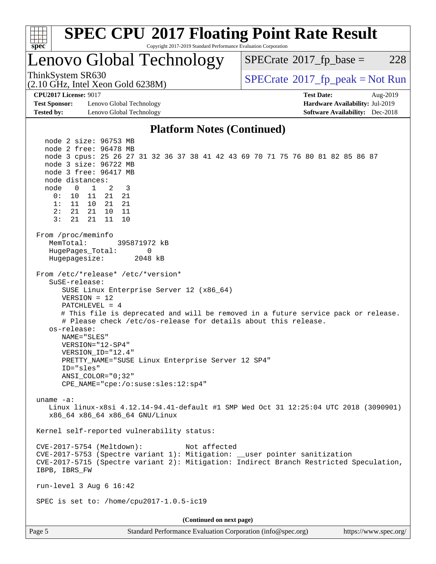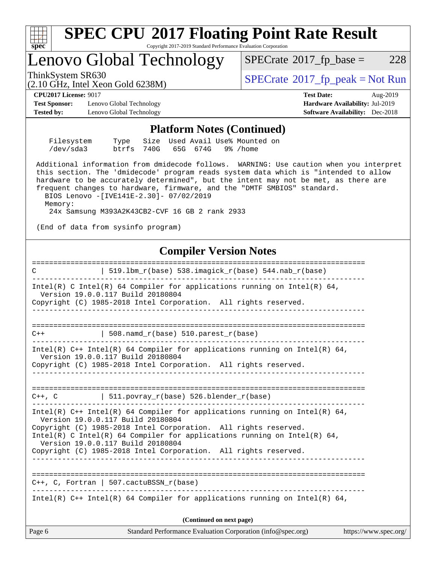

Intel(R)  $C++$  Intel(R) 64 Compiler for applications running on Intel(R) 64,

**(Continued on next page)**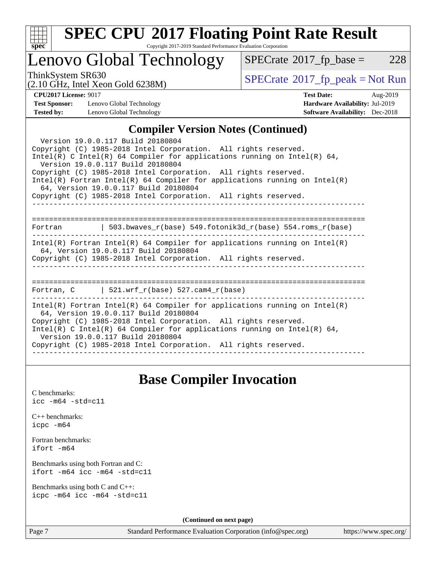

# **[SPEC CPU](http://www.spec.org/auto/cpu2017/Docs/result-fields.html#SPECCPU2017FloatingPointRateResult)[2017 Floating Point Rate Result](http://www.spec.org/auto/cpu2017/Docs/result-fields.html#SPECCPU2017FloatingPointRateResult)**

Copyright 2017-2019 Standard Performance Evaluation Corporation

## Lenovo Global Technology

 $SPECTate@2017_fp\_base = 228$ 

(2.10 GHz, Intel Xeon Gold 6238M)

ThinkSystem SR630<br>  $\begin{array}{c}\n\text{SPECrate} \textcirc 2017\_fp\_peak = Not Run \\
\text{SPECrate} \textcirc 2017\_fp\_peak = Not Run\n\end{array}$  $\begin{array}{c}\n\text{SPECrate} \textcirc 2017\_fp\_peak = Not Run \\
\text{SPECrate} \textcirc 2017\_fp\_peak = Not Run\n\end{array}$  $\begin{array}{c}\n\text{SPECrate} \textcirc 2017\_fp\_peak = Not Run \\
\text{SPECrate} \textcirc 2017\_fp\_peak = Not Run\n\end{array}$ 

**[Test Sponsor:](http://www.spec.org/auto/cpu2017/Docs/result-fields.html#TestSponsor)** Lenovo Global Technology **[Hardware Availability:](http://www.spec.org/auto/cpu2017/Docs/result-fields.html#HardwareAvailability)** Jul-2019 **[Tested by:](http://www.spec.org/auto/cpu2017/Docs/result-fields.html#Testedby)** Lenovo Global Technology **[Software Availability:](http://www.spec.org/auto/cpu2017/Docs/result-fields.html#SoftwareAvailability)** Dec-2018

**[CPU2017 License:](http://www.spec.org/auto/cpu2017/Docs/result-fields.html#CPU2017License)** 9017 **[Test Date:](http://www.spec.org/auto/cpu2017/Docs/result-fields.html#TestDate)** Aug-2019

## **[Compiler Version Notes \(Continued\)](http://www.spec.org/auto/cpu2017/Docs/result-fields.html#CompilerVersionNotes)**

| Version 19.0.0.117 Build 20180804<br>Copyright (C) 1985-2018 Intel Corporation. All rights reserved.<br>Intel(R) C Intel(R) 64 Compiler for applications running on Intel(R) 64,<br>Version 19.0.0.117 Build 20180804<br>Copyright (C) 1985-2018 Intel Corporation. All rights reserved.<br>Intel(R) Fortran Intel(R) 64 Compiler for applications running on Intel(R)<br>64, Version 19.0.0.117 Build 20180804<br>Copyright (C) 1985-2018 Intel Corporation. All rights reserved. |  |  |  |  |  |
|------------------------------------------------------------------------------------------------------------------------------------------------------------------------------------------------------------------------------------------------------------------------------------------------------------------------------------------------------------------------------------------------------------------------------------------------------------------------------------|--|--|--|--|--|
| Fortran 		   503.bwaves_r(base) 549.fotonik3d_r(base) 554.roms_r(base)                                                                                                                                                                                                                                                                                                                                                                                                             |  |  |  |  |  |
|                                                                                                                                                                                                                                                                                                                                                                                                                                                                                    |  |  |  |  |  |
| $Intel(R)$ Fortran Intel(R) 64 Compiler for applications running on Intel(R)<br>64, Version 19.0.0.117 Build 20180804                                                                                                                                                                                                                                                                                                                                                              |  |  |  |  |  |
| Copyright (C) 1985-2018 Intel Corporation. All rights reserved.<br>______________                                                                                                                                                                                                                                                                                                                                                                                                  |  |  |  |  |  |
|                                                                                                                                                                                                                                                                                                                                                                                                                                                                                    |  |  |  |  |  |
| Fortran, $C = \vert 521. \text{wrf } r(\text{base})$ 527.cam4 $r(\text{base})$                                                                                                                                                                                                                                                                                                                                                                                                     |  |  |  |  |  |
| Intel(R) Fortran Intel(R) 64 Compiler for applications running on Intel(R)<br>64, Version 19.0.0.117 Build 20180804<br>Copyright (C) 1985-2018 Intel Corporation. All rights reserved.<br>Intel(R) C Intel(R) 64 Compiler for applications running on Intel(R) 64,<br>Version 19.0.0.117 Build 20180804                                                                                                                                                                            |  |  |  |  |  |
| Copyright (C) 1985-2018 Intel Corporation. All rights reserved.                                                                                                                                                                                                                                                                                                                                                                                                                    |  |  |  |  |  |

## **[Base Compiler Invocation](http://www.spec.org/auto/cpu2017/Docs/result-fields.html#BaseCompilerInvocation)**

[C benchmarks](http://www.spec.org/auto/cpu2017/Docs/result-fields.html#Cbenchmarks): [icc -m64 -std=c11](http://www.spec.org/cpu2017/results/res2019q3/cpu2017-20190819-17070.flags.html#user_CCbase_intel_icc_64bit_c11_33ee0cdaae7deeeab2a9725423ba97205ce30f63b9926c2519791662299b76a0318f32ddfffdc46587804de3178b4f9328c46fa7c2b0cd779d7a61945c91cd35)

|           | $C_{++}$ benchmarks: |
|-----------|----------------------|
| icpc -m64 |                      |

[Fortran benchmarks](http://www.spec.org/auto/cpu2017/Docs/result-fields.html#Fortranbenchmarks): [ifort -m64](http://www.spec.org/cpu2017/results/res2019q3/cpu2017-20190819-17070.flags.html#user_FCbase_intel_ifort_64bit_24f2bb282fbaeffd6157abe4f878425411749daecae9a33200eee2bee2fe76f3b89351d69a8130dd5949958ce389cf37ff59a95e7a40d588e8d3a57e0c3fd751)

[Benchmarks using both Fortran and C](http://www.spec.org/auto/cpu2017/Docs/result-fields.html#BenchmarksusingbothFortranandC): [ifort -m64](http://www.spec.org/cpu2017/results/res2019q3/cpu2017-20190819-17070.flags.html#user_CC_FCbase_intel_ifort_64bit_24f2bb282fbaeffd6157abe4f878425411749daecae9a33200eee2bee2fe76f3b89351d69a8130dd5949958ce389cf37ff59a95e7a40d588e8d3a57e0c3fd751) [icc -m64 -std=c11](http://www.spec.org/cpu2017/results/res2019q3/cpu2017-20190819-17070.flags.html#user_CC_FCbase_intel_icc_64bit_c11_33ee0cdaae7deeeab2a9725423ba97205ce30f63b9926c2519791662299b76a0318f32ddfffdc46587804de3178b4f9328c46fa7c2b0cd779d7a61945c91cd35)

[Benchmarks using both C and C++](http://www.spec.org/auto/cpu2017/Docs/result-fields.html#BenchmarksusingbothCandCXX): [icpc -m64](http://www.spec.org/cpu2017/results/res2019q3/cpu2017-20190819-17070.flags.html#user_CC_CXXbase_intel_icpc_64bit_4ecb2543ae3f1412ef961e0650ca070fec7b7afdcd6ed48761b84423119d1bf6bdf5cad15b44d48e7256388bc77273b966e5eb805aefd121eb22e9299b2ec9d9) [icc -m64 -std=c11](http://www.spec.org/cpu2017/results/res2019q3/cpu2017-20190819-17070.flags.html#user_CC_CXXbase_intel_icc_64bit_c11_33ee0cdaae7deeeab2a9725423ba97205ce30f63b9926c2519791662299b76a0318f32ddfffdc46587804de3178b4f9328c46fa7c2b0cd779d7a61945c91cd35)

**(Continued on next page)**

Page 7 Standard Performance Evaluation Corporation [\(info@spec.org\)](mailto:info@spec.org) <https://www.spec.org/>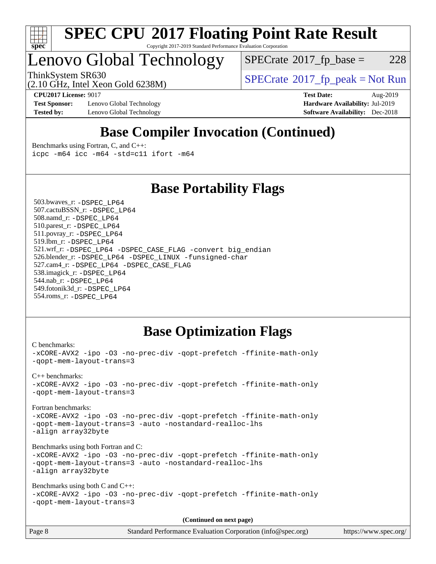

#### **[SPEC CPU](http://www.spec.org/auto/cpu2017/Docs/result-fields.html#SPECCPU2017FloatingPointRateResult)[2017 Floating Point Rate Result](http://www.spec.org/auto/cpu2017/Docs/result-fields.html#SPECCPU2017FloatingPointRateResult)** Copyright 2017-2019 Standard Performance Evaluation Corporation

# Lenovo Global Technology

 $SPECTate@2017_fp\_base = 228$ 

ThinkSystem SR630<br>  $SPECTR_{10}$  [SPECrate](http://www.spec.org/auto/cpu2017/Docs/result-fields.html#SPECrate2017fppeak)®[2017\\_fp\\_peak = N](http://www.spec.org/auto/cpu2017/Docs/result-fields.html#SPECrate2017fppeak)ot Run

**[Test Sponsor:](http://www.spec.org/auto/cpu2017/Docs/result-fields.html#TestSponsor)** Lenovo Global Technology **[Hardware Availability:](http://www.spec.org/auto/cpu2017/Docs/result-fields.html#HardwareAvailability)** Jul-2019 **[Tested by:](http://www.spec.org/auto/cpu2017/Docs/result-fields.html#Testedby)** Lenovo Global Technology **[Software Availability:](http://www.spec.org/auto/cpu2017/Docs/result-fields.html#SoftwareAvailability)** Dec-2018

(2.10 GHz, Intel Xeon Gold 6238M)

**[CPU2017 License:](http://www.spec.org/auto/cpu2017/Docs/result-fields.html#CPU2017License)** 9017 **[Test Date:](http://www.spec.org/auto/cpu2017/Docs/result-fields.html#TestDate)** Aug-2019

## **[Base Compiler Invocation \(Continued\)](http://www.spec.org/auto/cpu2017/Docs/result-fields.html#BaseCompilerInvocation)**

[Benchmarks using Fortran, C, and C++:](http://www.spec.org/auto/cpu2017/Docs/result-fields.html#BenchmarksusingFortranCandCXX) [icpc -m64](http://www.spec.org/cpu2017/results/res2019q3/cpu2017-20190819-17070.flags.html#user_CC_CXX_FCbase_intel_icpc_64bit_4ecb2543ae3f1412ef961e0650ca070fec7b7afdcd6ed48761b84423119d1bf6bdf5cad15b44d48e7256388bc77273b966e5eb805aefd121eb22e9299b2ec9d9) [icc -m64 -std=c11](http://www.spec.org/cpu2017/results/res2019q3/cpu2017-20190819-17070.flags.html#user_CC_CXX_FCbase_intel_icc_64bit_c11_33ee0cdaae7deeeab2a9725423ba97205ce30f63b9926c2519791662299b76a0318f32ddfffdc46587804de3178b4f9328c46fa7c2b0cd779d7a61945c91cd35) [ifort -m64](http://www.spec.org/cpu2017/results/res2019q3/cpu2017-20190819-17070.flags.html#user_CC_CXX_FCbase_intel_ifort_64bit_24f2bb282fbaeffd6157abe4f878425411749daecae9a33200eee2bee2fe76f3b89351d69a8130dd5949958ce389cf37ff59a95e7a40d588e8d3a57e0c3fd751)

## **[Base Portability Flags](http://www.spec.org/auto/cpu2017/Docs/result-fields.html#BasePortabilityFlags)**

 503.bwaves\_r: [-DSPEC\\_LP64](http://www.spec.org/cpu2017/results/res2019q3/cpu2017-20190819-17070.flags.html#suite_basePORTABILITY503_bwaves_r_DSPEC_LP64) 507.cactuBSSN\_r: [-DSPEC\\_LP64](http://www.spec.org/cpu2017/results/res2019q3/cpu2017-20190819-17070.flags.html#suite_basePORTABILITY507_cactuBSSN_r_DSPEC_LP64) 508.namd\_r: [-DSPEC\\_LP64](http://www.spec.org/cpu2017/results/res2019q3/cpu2017-20190819-17070.flags.html#suite_basePORTABILITY508_namd_r_DSPEC_LP64) 510.parest\_r: [-DSPEC\\_LP64](http://www.spec.org/cpu2017/results/res2019q3/cpu2017-20190819-17070.flags.html#suite_basePORTABILITY510_parest_r_DSPEC_LP64) 511.povray\_r: [-DSPEC\\_LP64](http://www.spec.org/cpu2017/results/res2019q3/cpu2017-20190819-17070.flags.html#suite_basePORTABILITY511_povray_r_DSPEC_LP64) 519.lbm\_r: [-DSPEC\\_LP64](http://www.spec.org/cpu2017/results/res2019q3/cpu2017-20190819-17070.flags.html#suite_basePORTABILITY519_lbm_r_DSPEC_LP64) 521.wrf\_r: [-DSPEC\\_LP64](http://www.spec.org/cpu2017/results/res2019q3/cpu2017-20190819-17070.flags.html#suite_basePORTABILITY521_wrf_r_DSPEC_LP64) [-DSPEC\\_CASE\\_FLAG](http://www.spec.org/cpu2017/results/res2019q3/cpu2017-20190819-17070.flags.html#b521.wrf_r_baseCPORTABILITY_DSPEC_CASE_FLAG) [-convert big\\_endian](http://www.spec.org/cpu2017/results/res2019q3/cpu2017-20190819-17070.flags.html#user_baseFPORTABILITY521_wrf_r_convert_big_endian_c3194028bc08c63ac5d04de18c48ce6d347e4e562e8892b8bdbdc0214820426deb8554edfa529a3fb25a586e65a3d812c835984020483e7e73212c4d31a38223) 526.blender\_r: [-DSPEC\\_LP64](http://www.spec.org/cpu2017/results/res2019q3/cpu2017-20190819-17070.flags.html#suite_basePORTABILITY526_blender_r_DSPEC_LP64) [-DSPEC\\_LINUX](http://www.spec.org/cpu2017/results/res2019q3/cpu2017-20190819-17070.flags.html#b526.blender_r_baseCPORTABILITY_DSPEC_LINUX) [-funsigned-char](http://www.spec.org/cpu2017/results/res2019q3/cpu2017-20190819-17070.flags.html#user_baseCPORTABILITY526_blender_r_force_uchar_40c60f00ab013830e2dd6774aeded3ff59883ba5a1fc5fc14077f794d777847726e2a5858cbc7672e36e1b067e7e5c1d9a74f7176df07886a243d7cc18edfe67) 527.cam4\_r: [-DSPEC\\_LP64](http://www.spec.org/cpu2017/results/res2019q3/cpu2017-20190819-17070.flags.html#suite_basePORTABILITY527_cam4_r_DSPEC_LP64) [-DSPEC\\_CASE\\_FLAG](http://www.spec.org/cpu2017/results/res2019q3/cpu2017-20190819-17070.flags.html#b527.cam4_r_baseCPORTABILITY_DSPEC_CASE_FLAG) 538.imagick\_r: [-DSPEC\\_LP64](http://www.spec.org/cpu2017/results/res2019q3/cpu2017-20190819-17070.flags.html#suite_basePORTABILITY538_imagick_r_DSPEC_LP64) 544.nab\_r: [-DSPEC\\_LP64](http://www.spec.org/cpu2017/results/res2019q3/cpu2017-20190819-17070.flags.html#suite_basePORTABILITY544_nab_r_DSPEC_LP64) 549.fotonik3d\_r: [-DSPEC\\_LP64](http://www.spec.org/cpu2017/results/res2019q3/cpu2017-20190819-17070.flags.html#suite_basePORTABILITY549_fotonik3d_r_DSPEC_LP64) 554.roms\_r: [-DSPEC\\_LP64](http://www.spec.org/cpu2017/results/res2019q3/cpu2017-20190819-17070.flags.html#suite_basePORTABILITY554_roms_r_DSPEC_LP64)

## **[Base Optimization Flags](http://www.spec.org/auto/cpu2017/Docs/result-fields.html#BaseOptimizationFlags)**

```
C benchmarks: 
-xCORE-AVX2 -ipo -O3 -no-prec-div -qopt-prefetch -ffinite-math-only
-qopt-mem-layout-trans=3
C++ benchmarks: 
-xCORE-AVX2 -ipo -O3 -no-prec-div -qopt-prefetch -ffinite-math-only
-qopt-mem-layout-trans=3
Fortran benchmarks: 
-xCORE-AVX2 -ipo -O3 -no-prec-div -qopt-prefetch -ffinite-math-only
-qopt-mem-layout-trans=3 -auto -nostandard-realloc-lhs
-align array32byte
Benchmarks using both Fortran and C: 
-xCORE-AVX2 -ipo -O3 -no-prec-div -qopt-prefetch -ffinite-math-only
-qopt-mem-layout-trans=3 -auto -nostandard-realloc-lhs
-align array32byte
Benchmarks using both C and C++: 
-xCORE-AVX2 -ipo -O3 -no-prec-div -qopt-prefetch -ffinite-math-only
-qopt-mem-layout-trans=3
                                      (Continued on next page)
```